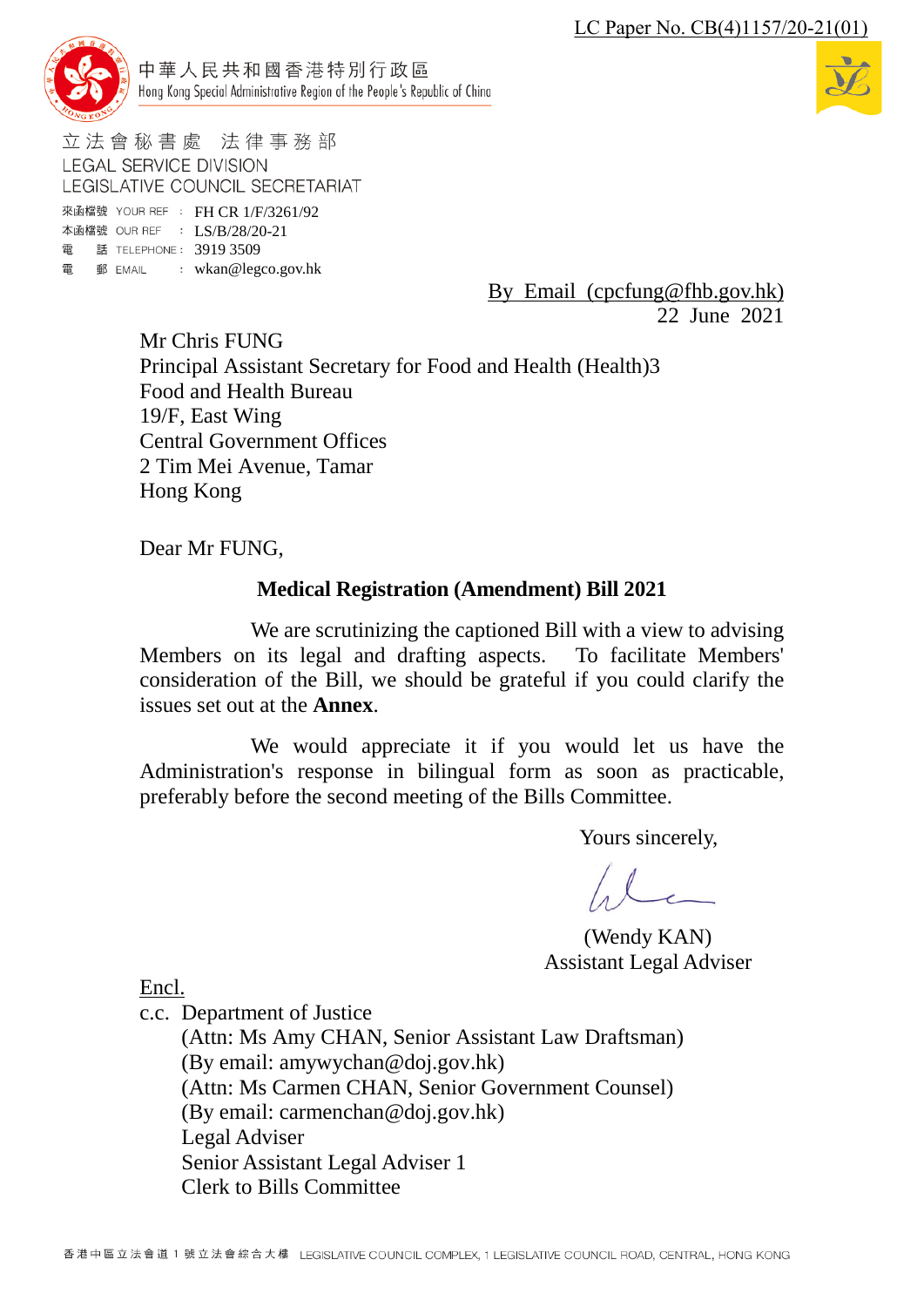

中華人民共和國香港特別行政區 Hong Kong Special Administrative Region of the People's Republic of China



立法會秘書處 法律事務部 **LEGAL SERVICE DIVISION** LEGISLATIVE COUNCIL SECRETARIAT

來函檔號 YOUR REF : FH CR 1/F/3261/92 本函檔號 OUR REF : LS/B/28/20-21 電 話 TELEPHONE: 3919 3509 電 郵 EMAIL : wkan@legco.gov.hk

> By Email (cpcfung@fhb.gov.hk) 22 June 2021

Mr Chris FUNG Principal Assistant Secretary for Food and Health (Health)3 Food and Health Bureau 19/F, East Wing Central Government Offices 2 Tim Mei Avenue, Tamar Hong Kong

Dear Mr FUNG,

# **Medical Registration (Amendment) Bill 2021**

We are scrutinizing the captioned Bill with a view to advising Members on its legal and drafting aspects. To facilitate Members' consideration of the Bill, we should be grateful if you could clarify the issues set out at the **Annex**.

We would appreciate it if you would let us have the Administration's response in bilingual form as soon as practicable, preferably before the second meeting of the Bills Committee.

Yours sincerely,

 $\ell$ 

(Wendy KAN) Assistant Legal Adviser

Encl.

c.c. Department of Justice

(Attn: Ms Amy CHAN, Senior Assistant Law Draftsman) (By email: amywychan@doj.gov.hk) (Attn: Ms Carmen CHAN, Senior Government Counsel) (By email: carmenchan@doj.gov.hk) Legal Adviser Senior Assistant Legal Adviser 1 Clerk to Bills Committee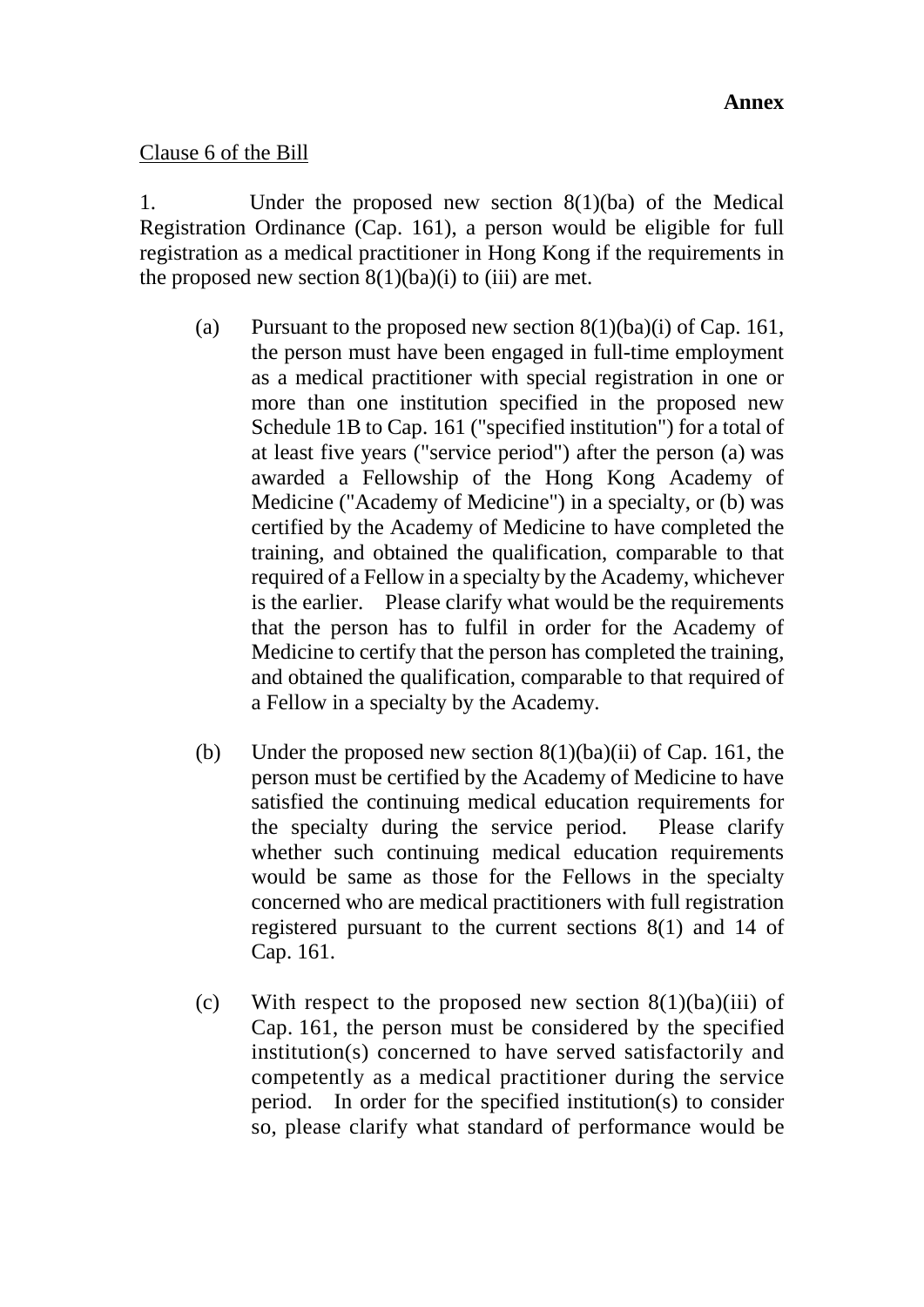#### Clause 6 of the Bill

1. Under the proposed new section 8(1)(ba) of the Medical Registration Ordinance (Cap. 161), a person would be eligible for full registration as a medical practitioner in Hong Kong if the requirements in the proposed new section  $8(1)(ba)(i)$  to (iii) are met.

- (a) Pursuant to the proposed new section  $8(1)(ba)(i)$  of Cap. 161, the person must have been engaged in full-time employment as a medical practitioner with special registration in one or more than one institution specified in the proposed new Schedule 1B to Cap. 161 ("specified institution") for a total of at least five years ("service period") after the person (a) was awarded a Fellowship of the Hong Kong Academy of Medicine ("Academy of Medicine") in a specialty, or (b) was certified by the Academy of Medicine to have completed the training, and obtained the qualification, comparable to that required of a Fellow in a specialty by the Academy, whichever is the earlier. Please clarify what would be the requirements that the person has to fulfil in order for the Academy of Medicine to certify that the person has completed the training, and obtained the qualification, comparable to that required of a Fellow in a specialty by the Academy.
- (b) Under the proposed new section  $8(1)(ba)(ii)$  of Cap. 161, the person must be certified by the Academy of Medicine to have satisfied the continuing medical education requirements for the specialty during the service period. Please clarify whether such continuing medical education requirements would be same as those for the Fellows in the specialty concerned who are medical practitioners with full registration registered pursuant to the current sections 8(1) and 14 of Cap. 161.
- (c) With respect to the proposed new section  $8(1)(ba)(iii)$  of Cap. 161, the person must be considered by the specified institution(s) concerned to have served satisfactorily and competently as a medical practitioner during the service period. In order for the specified institution(s) to consider so, please clarify what standard of performance would be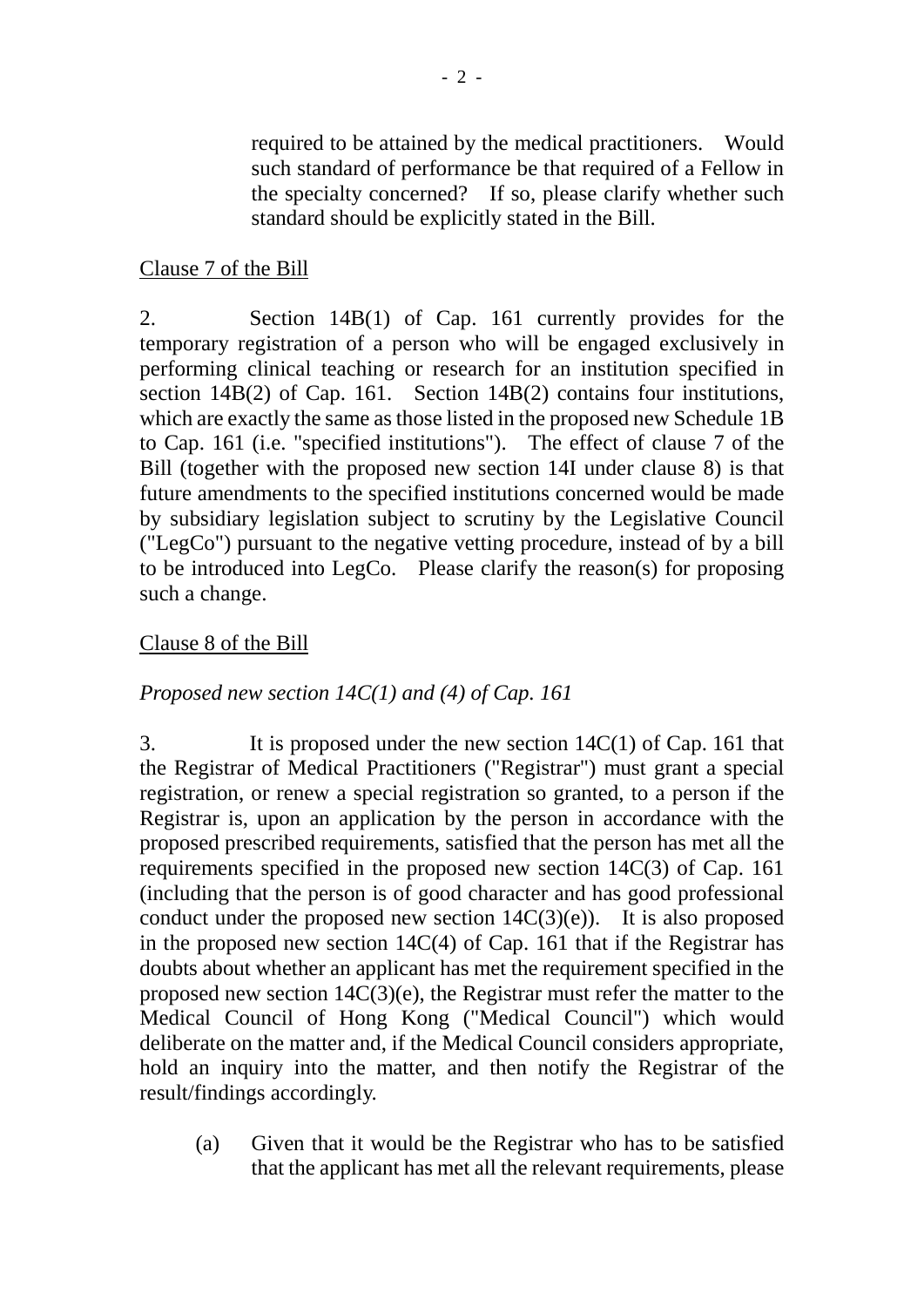required to be attained by the medical practitioners. Would such standard of performance be that required of a Fellow in the specialty concerned? If so, please clarify whether such standard should be explicitly stated in the Bill.

# Clause 7 of the Bill

2. Section 14B(1) of Cap. 161 currently provides for the temporary registration of a person who will be engaged exclusively in performing clinical teaching or research for an institution specified in section 14B(2) of Cap. 161. Section 14B(2) contains four institutions, which are exactly the same as those listed in the proposed new Schedule 1B to Cap. 161 (i.e. "specified institutions"). The effect of clause 7 of the Bill (together with the proposed new section 14I under clause 8) is that future amendments to the specified institutions concerned would be made by subsidiary legislation subject to scrutiny by the Legislative Council ("LegCo") pursuant to the negative vetting procedure, instead of by a bill to be introduced into LegCo. Please clarify the reason(s) for proposing such a change.

## Clause 8 of the Bill

# *Proposed new section 14C(1) and (4) of Cap. 161*

3. It is proposed under the new section 14C(1) of Cap. 161 that the Registrar of Medical Practitioners ("Registrar") must grant a special registration, or renew a special registration so granted, to a person if the Registrar is, upon an application by the person in accordance with the proposed prescribed requirements, satisfied that the person has met all the requirements specified in the proposed new section 14C(3) of Cap. 161 (including that the person is of good character and has good professional conduct under the proposed new section  $14C(3)(e)$ . It is also proposed in the proposed new section 14C(4) of Cap. 161 that if the Registrar has doubts about whether an applicant has met the requirement specified in the proposed new section 14C(3)(e), the Registrar must refer the matter to the Medical Council of Hong Kong ("Medical Council") which would deliberate on the matter and, if the Medical Council considers appropriate, hold an inquiry into the matter, and then notify the Registrar of the result/findings accordingly.

(a) Given that it would be the Registrar who has to be satisfied that the applicant has met all the relevant requirements, please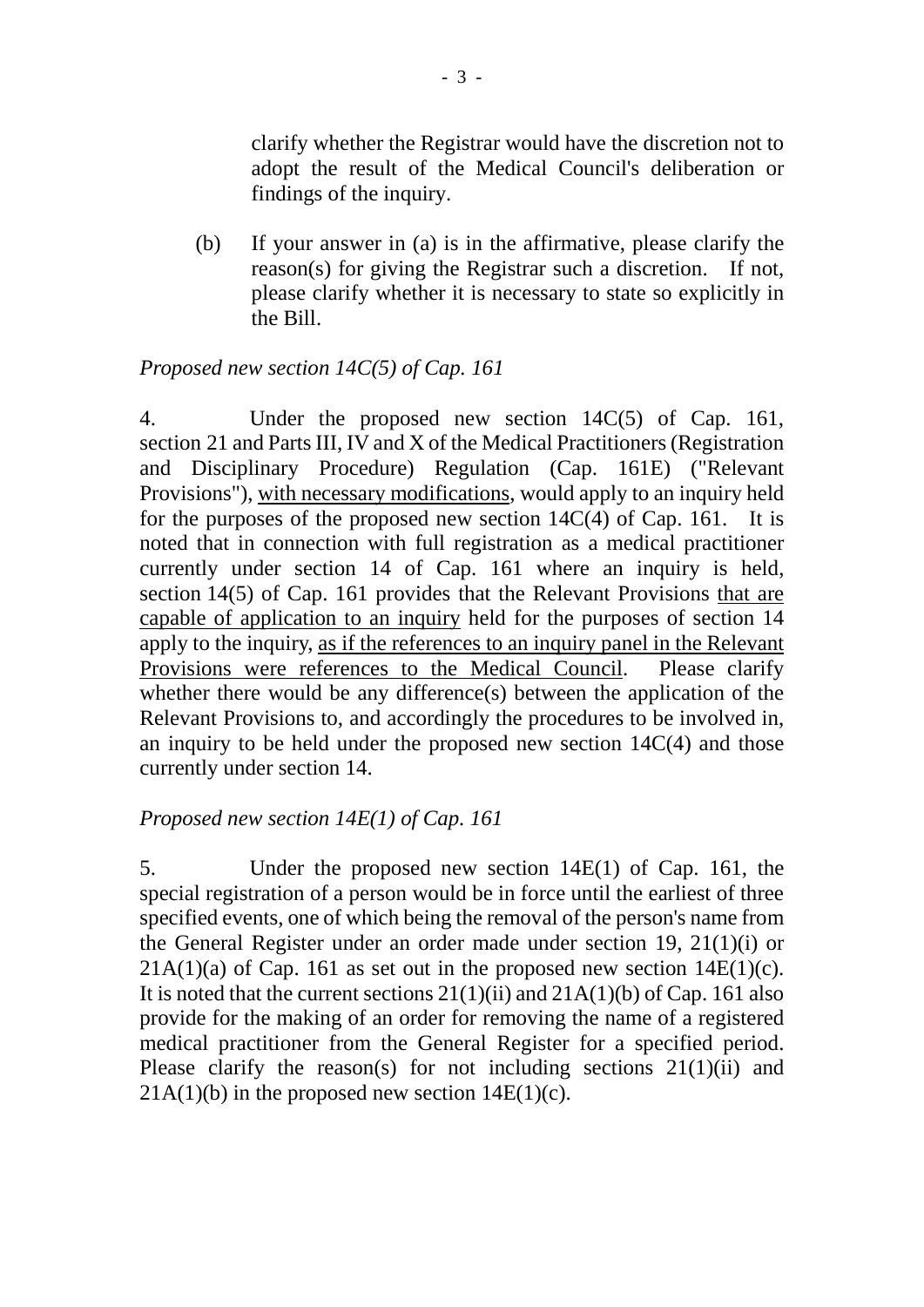clarify whether the Registrar would have the discretion not to adopt the result of the Medical Council's deliberation or findings of the inquiry.

(b) If your answer in (a) is in the affirmative, please clarify the reason(s) for giving the Registrar such a discretion. If not, please clarify whether it is necessary to state so explicitly in the Bill.

#### *Proposed new section 14C(5) of Cap. 161*

4. Under the proposed new section 14C(5) of Cap. 161, section 21 and Parts III, IV and X of the Medical Practitioners (Registration and Disciplinary Procedure) Regulation (Cap. 161E) ("Relevant Provisions"), with necessary modifications, would apply to an inquiry held for the purposes of the proposed new section  $14C(4)$  of Cap. 161. It is noted that in connection with full registration as a medical practitioner currently under section 14 of Cap. 161 where an inquiry is held, section 14(5) of Cap. 161 provides that the Relevant Provisions that are capable of application to an inquiry held for the purposes of section 14 apply to the inquiry, as if the references to an inquiry panel in the Relevant Provisions were references to the Medical Council. Please clarify whether there would be any difference(s) between the application of the Relevant Provisions to, and accordingly the procedures to be involved in, an inquiry to be held under the proposed new section 14C(4) and those currently under section 14.

#### *Proposed new section 14E(1) of Cap. 161*

5. Under the proposed new section 14E(1) of Cap. 161, the special registration of a person would be in force until the earliest of three specified events, one of which being the removal of the person's name from the General Register under an order made under section 19, 21(1)(i) or  $21A(1)(a)$  of Cap. 161 as set out in the proposed new section  $14E(1)(c)$ . It is noted that the current sections  $21(1)(ii)$  and  $21A(1)(b)$  of Cap. 161 also provide for the making of an order for removing the name of a registered medical practitioner from the General Register for a specified period. Please clarify the reason(s) for not including sections 21(1)(ii) and  $21A(1)(b)$  in the proposed new section  $14E(1)(c)$ .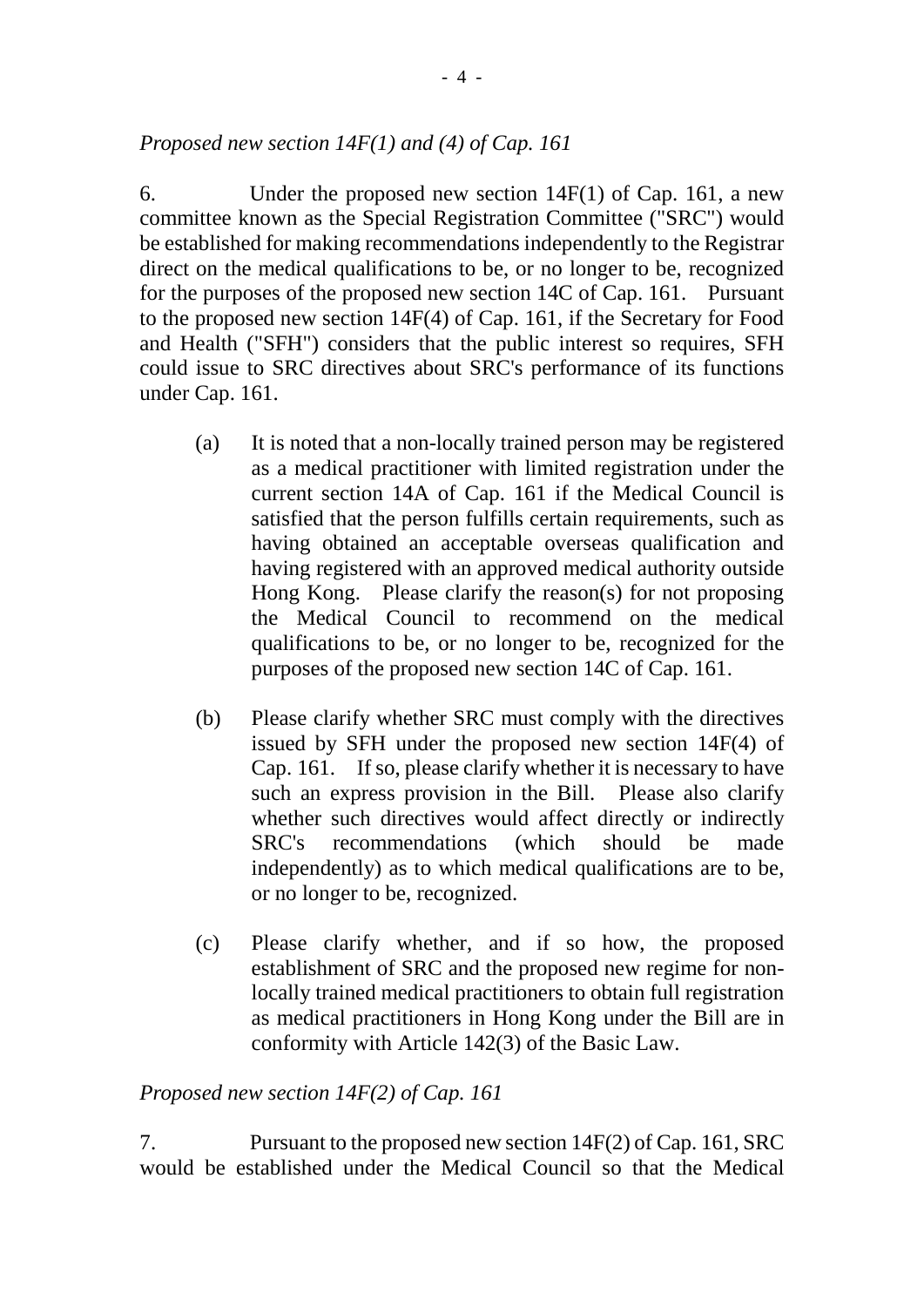## *Proposed new section 14F(1) and (4) of Cap. 161*

6. Under the proposed new section 14F(1) of Cap. 161, a new committee known as the Special Registration Committee ("SRC") would be established for making recommendations independently to the Registrar direct on the medical qualifications to be, or no longer to be, recognized for the purposes of the proposed new section 14C of Cap. 161. Pursuant to the proposed new section 14F(4) of Cap. 161, if the Secretary for Food and Health ("SFH") considers that the public interest so requires, SFH could issue to SRC directives about SRC's performance of its functions under Cap. 161.

- (a) It is noted that a non-locally trained person may be registered as a medical practitioner with limited registration under the current section 14A of Cap. 161 if the Medical Council is satisfied that the person fulfills certain requirements, such as having obtained an acceptable overseas qualification and having registered with an approved medical authority outside Hong Kong. Please clarify the reason(s) for not proposing the Medical Council to recommend on the medical qualifications to be, or no longer to be, recognized for the purposes of the proposed new section 14C of Cap. 161.
- (b) Please clarify whether SRC must comply with the directives issued by SFH under the proposed new section 14F(4) of Cap. 161. If so, please clarify whether it is necessary to have such an express provision in the Bill. Please also clarify whether such directives would affect directly or indirectly SRC's recommendations (which should be made independently) as to which medical qualifications are to be, or no longer to be, recognized.
- (c) Please clarify whether, and if so how, the proposed establishment of SRC and the proposed new regime for nonlocally trained medical practitioners to obtain full registration as medical practitioners in Hong Kong under the Bill are in conformity with Article 142(3) of the Basic Law.

## *Proposed new section 14F(2) of Cap. 161*

7. Pursuant to the proposed new section 14F(2) of Cap. 161, SRC would be established under the Medical Council so that the Medical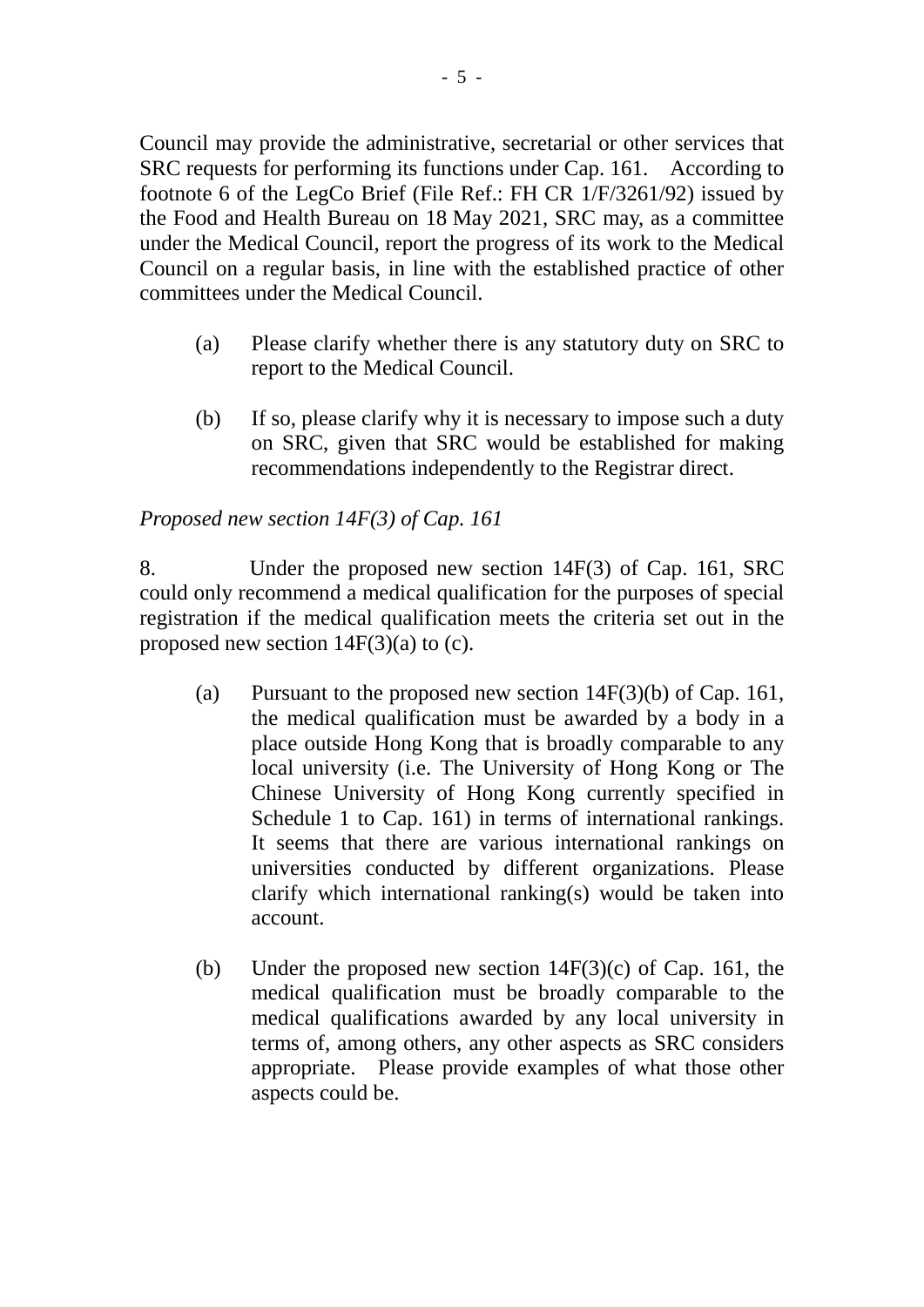Council may provide the administrative, secretarial or other services that SRC requests for performing its functions under Cap. 161. According to footnote 6 of the LegCo Brief (File Ref.: FH CR 1/F/3261/92) issued by the Food and Health Bureau on 18 May 2021, SRC may, as a committee under the Medical Council, report the progress of its work to the Medical Council on a regular basis, in line with the established practice of other committees under the Medical Council.

- (a) Please clarify whether there is any statutory duty on SRC to report to the Medical Council.
- (b) If so, please clarify why it is necessary to impose such a duty on SRC, given that SRC would be established for making recommendations independently to the Registrar direct.

# *Proposed new section 14F(3) of Cap. 161*

8. Under the proposed new section 14F(3) of Cap. 161, SRC could only recommend a medical qualification for the purposes of special registration if the medical qualification meets the criteria set out in the proposed new section  $14F(3)(a)$  to (c).

- (a) Pursuant to the proposed new section 14F(3)(b) of Cap. 161, the medical qualification must be awarded by a body in a place outside Hong Kong that is broadly comparable to any local university (i.e. The University of Hong Kong or The Chinese University of Hong Kong currently specified in Schedule 1 to Cap. 161) in terms of international rankings. It seems that there are various international rankings on universities conducted by different organizations. Please clarify which international ranking(s) would be taken into account.
- (b) Under the proposed new section  $14F(3)(c)$  of Cap. 161, the medical qualification must be broadly comparable to the medical qualifications awarded by any local university in terms of, among others, any other aspects as SRC considers appropriate. Please provide examples of what those other aspects could be.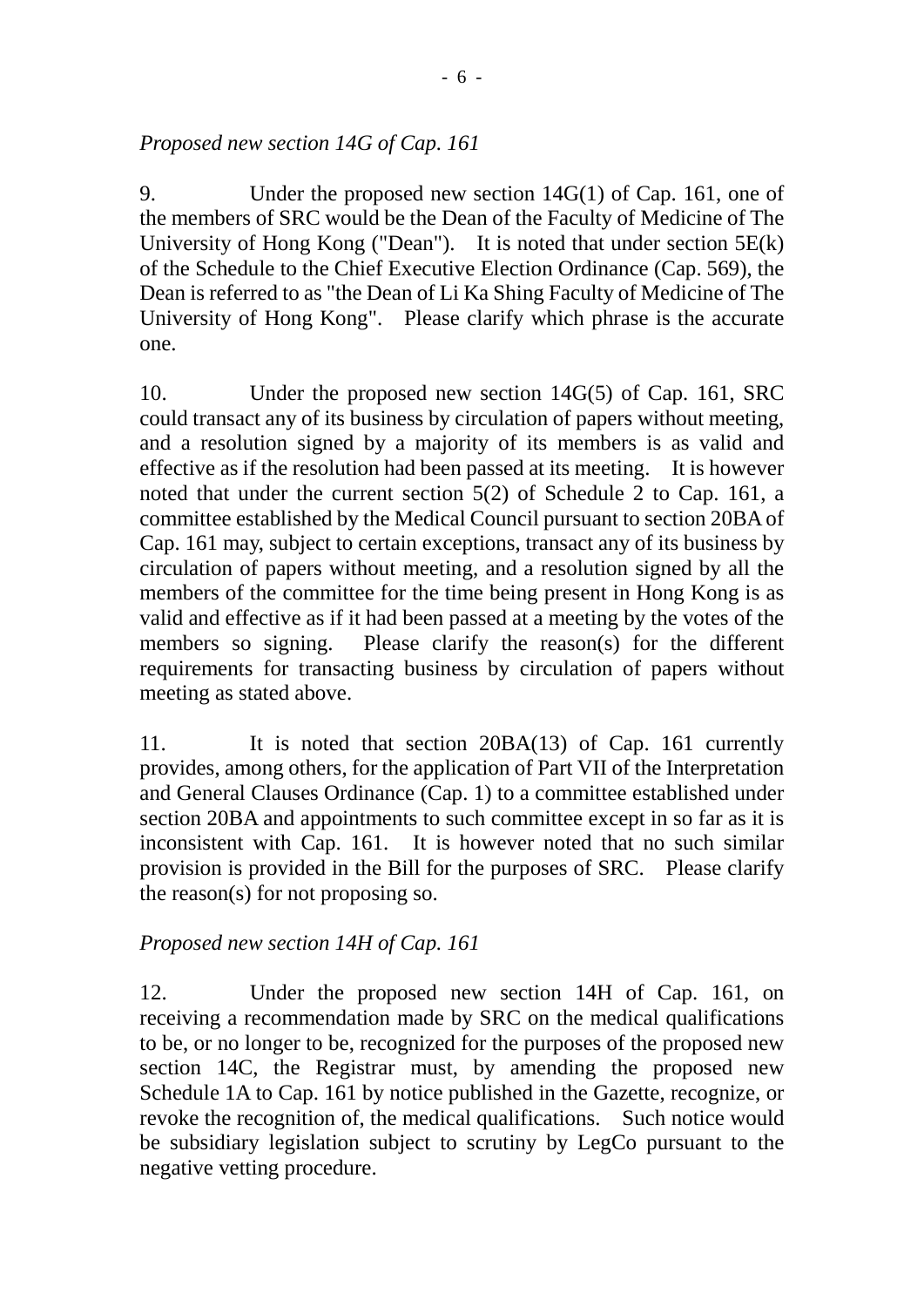# *Proposed new section 14G of Cap. 161*

9. Under the proposed new section 14G(1) of Cap. 161, one of the members of SRC would be the Dean of the Faculty of Medicine of The University of Hong Kong ("Dean"). It is noted that under section 5E(k) of the Schedule to the Chief Executive Election Ordinance (Cap. 569), the Dean is referred to as "the Dean of Li Ka Shing Faculty of Medicine of The University of Hong Kong". Please clarify which phrase is the accurate one.

10. Under the proposed new section 14G(5) of Cap. 161, SRC could transact any of its business by circulation of papers without meeting, and a resolution signed by a majority of its members is as valid and effective as if the resolution had been passed at its meeting. It is however noted that under the current section 5(2) of Schedule 2 to Cap. 161, a committee established by the Medical Council pursuant to section 20BA of Cap. 161 may, subject to certain exceptions, transact any of its business by circulation of papers without meeting, and a resolution signed by all the members of the committee for the time being present in Hong Kong is as valid and effective as if it had been passed at a meeting by the votes of the members so signing. Please clarify the reason(s) for the different requirements for transacting business by circulation of papers without meeting as stated above.

11. It is noted that section 20BA(13) of Cap. 161 currently provides, among others, for the application of Part VII of the Interpretation and General Clauses Ordinance (Cap. 1) to a committee established under section 20BA and appointments to such committee except in so far as it is inconsistent with Cap. 161. It is however noted that no such similar provision is provided in the Bill for the purposes of SRC. Please clarify the reason(s) for not proposing so.

# *Proposed new section 14H of Cap. 161*

12. Under the proposed new section 14H of Cap. 161, on receiving a recommendation made by SRC on the medical qualifications to be, or no longer to be, recognized for the purposes of the proposed new section 14C, the Registrar must, by amending the proposed new Schedule 1A to Cap. 161 by notice published in the Gazette, recognize, or revoke the recognition of, the medical qualifications. Such notice would be subsidiary legislation subject to scrutiny by LegCo pursuant to the negative vetting procedure.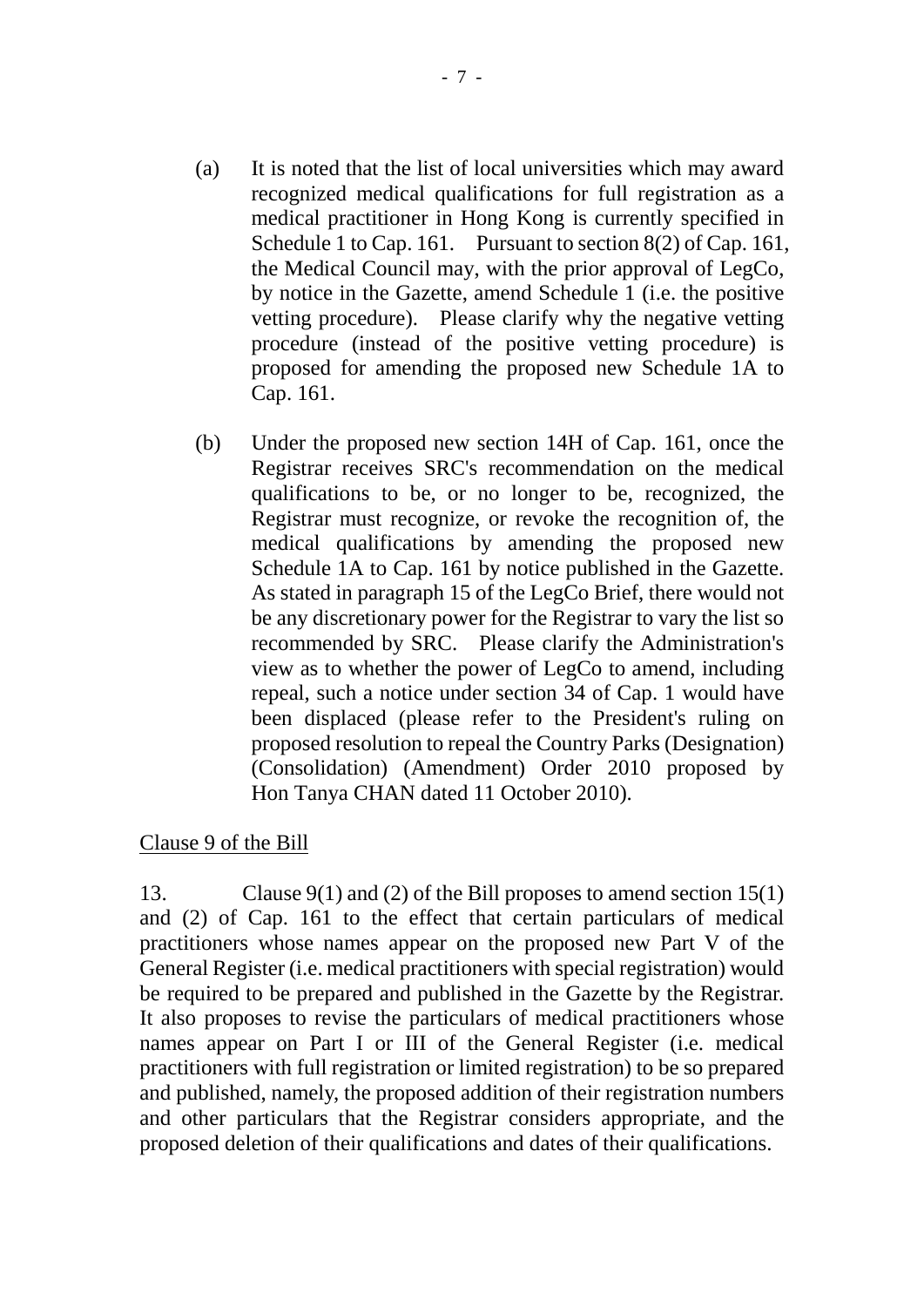- (a) It is noted that the list of local universities which may award recognized medical qualifications for full registration as a medical practitioner in Hong Kong is currently specified in Schedule 1 to Cap. 161. Pursuant to section 8(2) of Cap. 161, the Medical Council may, with the prior approval of LegCo, by notice in the Gazette, amend Schedule 1 (i.e. the positive vetting procedure). Please clarify why the negative vetting procedure (instead of the positive vetting procedure) is proposed for amending the proposed new Schedule 1A to Cap. 161.
- (b) Under the proposed new section 14H of Cap. 161, once the Registrar receives SRC's recommendation on the medical qualifications to be, or no longer to be, recognized, the Registrar must recognize, or revoke the recognition of, the medical qualifications by amending the proposed new Schedule 1A to Cap. 161 by notice published in the Gazette. As stated in paragraph 15 of the LegCo Brief, there would not be any discretionary power for the Registrar to vary the list so recommended by SRC. Please clarify the Administration's view as to whether the power of LegCo to amend, including repeal, such a notice under section 34 of Cap. 1 would have been displaced (please refer to the President's ruling on proposed resolution to repeal the Country Parks (Designation) (Consolidation) (Amendment) Order 2010 proposed by Hon Tanya CHAN dated 11 October 2010).

## Clause 9 of the Bill

13. Clause 9(1) and (2) of the Bill proposes to amend section 15(1) and (2) of Cap. 161 to the effect that certain particulars of medical practitioners whose names appear on the proposed new Part V of the General Register (i.e. medical practitioners with special registration) would be required to be prepared and published in the Gazette by the Registrar. It also proposes to revise the particulars of medical practitioners whose names appear on Part I or III of the General Register (i.e. medical practitioners with full registration or limited registration) to be so prepared and published, namely, the proposed addition of their registration numbers and other particulars that the Registrar considers appropriate, and the proposed deletion of their qualifications and dates of their qualifications.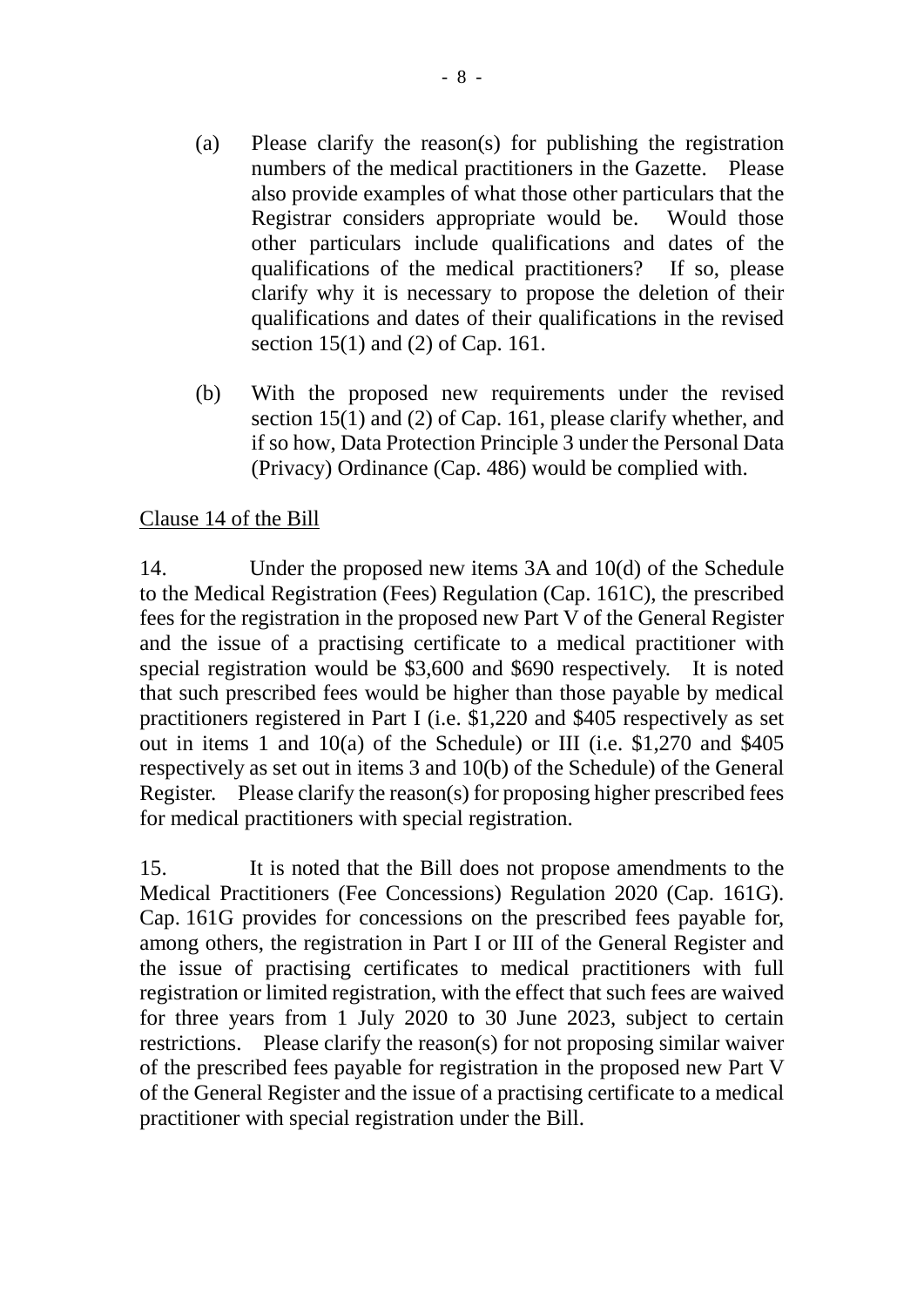- (a) Please clarify the reason(s) for publishing the registration numbers of the medical practitioners in the Gazette. Please also provide examples of what those other particulars that the Registrar considers appropriate would be. Would those other particulars include qualifications and dates of the qualifications of the medical practitioners? If so, please clarify why it is necessary to propose the deletion of their qualifications and dates of their qualifications in the revised section 15(1) and (2) of Cap. 161.
- (b) With the proposed new requirements under the revised section 15(1) and (2) of Cap. 161, please clarify whether, and if so how, Data Protection Principle 3 under the Personal Data (Privacy) Ordinance (Cap. 486) would be complied with.

## Clause 14 of the Bill

14. Under the proposed new items 3A and 10(d) of the Schedule to the Medical Registration (Fees) Regulation (Cap. 161C), the prescribed fees for the registration in the proposed new Part V of the General Register and the issue of a practising certificate to a medical practitioner with special registration would be \$3,600 and \$690 respectively. It is noted that such prescribed fees would be higher than those payable by medical practitioners registered in Part I (i.e. \$1,220 and \$405 respectively as set out in items 1 and 10(a) of the Schedule) or III (i.e. \$1,270 and \$405 respectively as set out in items 3 and 10(b) of the Schedule) of the General Register. Please clarify the reason(s) for proposing higher prescribed fees for medical practitioners with special registration.

15. It is noted that the Bill does not propose amendments to the Medical Practitioners (Fee Concessions) Regulation 2020 (Cap. 161G). Cap. 161G provides for concessions on the prescribed fees payable for, among others, the registration in Part I or III of the General Register and the issue of practising certificates to medical practitioners with full registration or limited registration, with the effect that such fees are waived for three years from 1 July 2020 to 30 June 2023, subject to certain restrictions. Please clarify the reason(s) for not proposing similar waiver of the prescribed fees payable for registration in the proposed new Part V of the General Register and the issue of a practising certificate to a medical practitioner with special registration under the Bill.